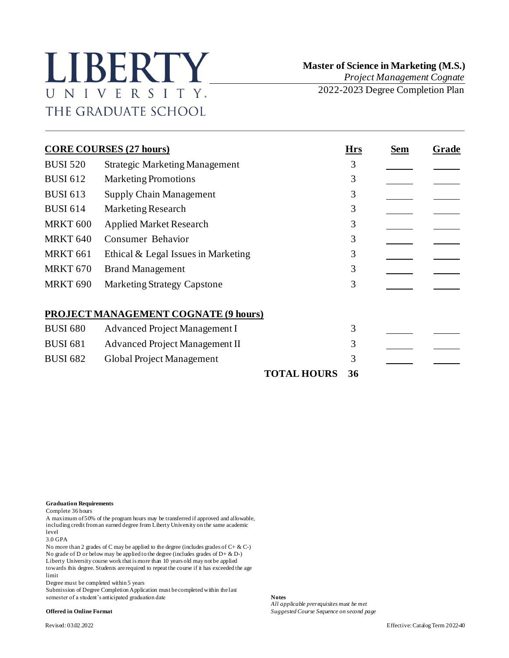## LIBERTY UNIVERSITY. THE GRADUATE SCHOOL

 **Master of Science in Marketing (M.S.)** *Project Management Cognate*

2022-2023 Degree Completion Plan

|                     | <b>CORE COURSES (27 hours)</b>              | <b>Hrs</b> | Sem | Grade |
|---------------------|---------------------------------------------|------------|-----|-------|
| <b>BUSI 520</b>     | <b>Strategic Marketing Management</b>       | 3          |     |       |
| <b>BUSI 612</b>     | <b>Marketing Promotions</b>                 | 3          |     |       |
| <b>BUSI 613</b>     | <b>Supply Chain Management</b>              | 3          |     |       |
| <b>BUSI 614</b>     | <b>Marketing Research</b>                   | 3          |     |       |
| <b>MRKT 600</b>     | <b>Applied Market Research</b>              | 3          |     |       |
| <b>MRKT 640</b>     | Consumer Behavior                           | 3          |     |       |
| MRKT <sub>661</sub> | Ethical & Legal Issues in Marketing         | 3          |     |       |
| <b>MRKT 670</b>     | <b>Brand Management</b>                     | 3          |     |       |
| <b>MRKT 690</b>     | <b>Marketing Strategy Capstone</b>          | 3          |     |       |
|                     | <b>PROJECT MANAGEMENT COGNATE (9 hours)</b> |            |     |       |
| <b>BUSI 680</b>     | Advanced Project Management I               | 3          |     |       |
| <b>BUSI 681</b>     | Advanced Project Management II              | 3          |     |       |
| <b>BUSI 682</b>     | Global Project Management                   | 3          |     |       |
|                     |                                             |            |     |       |

**TOTAL HOURS 36**

## **Graduation Requirements**

Complete 36 hours

A maximum of 50% of the program hours may be transferred if approved and allowable, including credit from an earned degree from Liberty University on the same academic level

3.0 GPA

No more than 2 grades of C may be applied to the degree (includes grades of C+ & C-) No grade of D or below may be applied to the degree (includes grades of D+ & D-) Liberty University course work that is more than 10 years old may not be applied towards this degree. Students are required to repeat the course if it has exceeded the age limit

Degree must be completed within 5 years

Submission of Degree Completion Application must be completed within the last semester of a student's anticipated graduation date **Notes** 

*All applicable prerequisites must be met* **Offered in Online Format** *Suggested Course Sequence on second page*